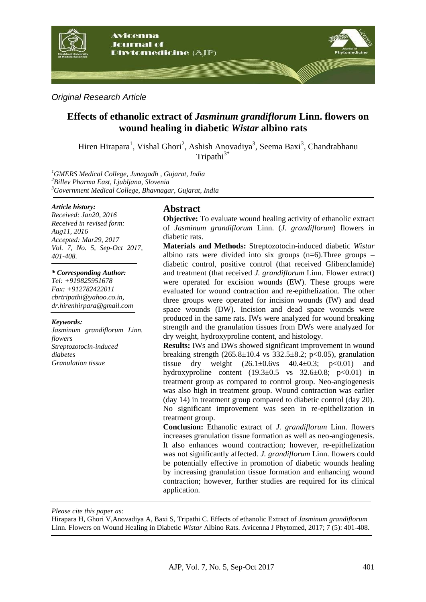

*Original Research Article*

# **Effects of ethanolic extract of** *Jasminum grandiflorum* **Linn. flowers on wound healing in diabetic** *Wistar* **albino rats**

Hiren Hirapara<sup>1</sup>, Vishal Ghori<sup>2</sup>, Ashish Anovadiya<sup>3</sup>, Seema Baxi<sup>3</sup>, Chandrabhanu  $Tripathi<sup>3*</sup>$ 

*<sup>1</sup>GMERS Medical College, Junagadh , Gujarat, India <sup>2</sup>Billev Pharma East, Ljubljana, Slovenia <sup>3</sup>Government Medical College, Bhavnagar, Gujarat, India*

#### *Article history:*

*Received: Jan20, 2016 Received in revised form: Aug11, 2016 Accepted: Mar29, 2017 Vol. 7, No. 5, Sep-Oct 2017, 401-408.*

#### *\* Corresponding Author:*

*Tel: +919825951678 Fax: +912782422011 cbrtripathi@yahoo.co.in, dr.hirenhirpara@gmail.com* 

#### *Keywords:*

*Jasminum grandiflorum Linn. flowers Streptozotocin-induced diabetes Granulation tissue*

### **Abstract**

**Objective:** To evaluate wound healing activity of ethanolic extract of *Jasminum grandiflorum* Linn. (*J. grandiflorum*) flowers in diabetic rats.

**Materials and Methods:** Streptozotocin-induced diabetic *Wistar* albino rats were divided into six groups  $(n=6)$ . Three groups – diabetic control, positive control (that received Glibenclamide) and treatment (that received *J. grandiflorum* Linn. Flower extract) were operated for excision wounds (EW). These groups were evaluated for wound contraction and re-epithelization. The other three groups were operated for incision wounds (IW) and dead space wounds (DW). Incision and dead space wounds were produced in the same rats. IWs were analyzed for wound breaking strength and the granulation tissues from DWs were analyzed for dry weight, hydroxyproline content, and histology.

**Results:** IWs and DWs showed significant improvement in wound breaking strength  $(265.8\pm10.4 \text{ vs } 332.5\pm8.2; \text{ p} < 0.05)$ , granulation tissue dry weight  $(26.1 \pm 0.6 \text{vs} \quad 40.4 \pm 0.3; \quad p < 0.01)$  and hydroxyproline content  $(19.3 \pm 0.5 \text{ vs } 32.6 \pm 0.8; \text{ p} < 0.01)$  in treatment group as compared to control group. Neo-angiogenesis was also high in treatment group. Wound contraction was earlier (day 14) in treatment group compared to diabetic control (day 20). No significant improvement was seen in re-epithelization in treatment group.

**Conclusion:** Ethanolic extract of *J. grandiflorum* Linn. flowers increases granulation tissue formation as well as neo-angiogenesis. It also enhances wound contraction; however, re-epithelization was not significantly affected. *J. grandiflorum* Linn. flowers could be potentially effective in promotion of diabetic wounds healing by increasing granulation tissue formation and enhancing wound contraction; however, further studies are required for its clinical application.

*Please cite this paper as:* 

Hirapara H, Ghori V,Anovadiya A, Baxi S, Tripathi C. Effects of ethanolic Extract of *Jasminum grandiflorum* Linn. Flowers on Wound Healing in Diabetic *Wistar* Albino Rats. Avicenna J Phytomed, 2017; 7 (5): 401-408.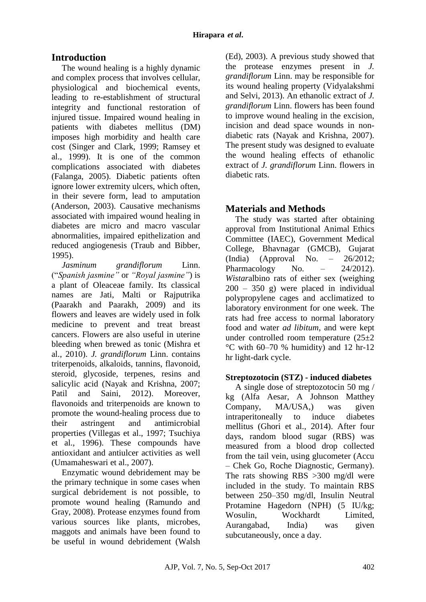# **Introduction**

The wound healing is a highly dynamic and complex process that involves cellular, physiological and biochemical events, leading to re-establishment of structural integrity and functional restoration of injured tissue. Impaired wound healing in patients with diabetes mellitus (DM) imposes high morbidity and health care cost (Singer and Clark, 1999; [Ramsey](http://care.diabetesjournals.org/search?author1=S+D+Ramsey&sortspec=date&submit=Submit) et al., 1999). It is one of the common complications associated with diabetes (Falanga, 2005). Diabetic patients often ignore lower extremity ulcers, which often, in their severe form, lead to amputation (Anderson, 2003). Causative mechanisms associated with impaired wound healing in diabetes are micro and macro vascular abnormalities, impaired epithelization and reduced angiogenesis (Traub and Bibber, 1995).

*Jasminum grandiflorum* Linn. ("*Spanish jasmine"* or *"Royal jasmine"*) is a plant of Oleaceae family. Its classical names are Jati, Malti or Rajputrika (Paarakh and Paarakh, 2009) and its flowers and leaves are widely used in folk medicine to prevent and treat breast cancers. Flowers are also useful in uterine bleeding when brewed as tonic (Mishra et al., 2010). *J. grandiflorum* Linn. contains triterpenoids, alkaloids, tannins, flavonoid, steroid, glycoside, terpenes, resins and salicylic acid (Nayak and Krishna, 2007; Patil and Saini, 2012). Moreover, flavonoids and triterpenoids are known to promote the wound-healing process due to their astringent and antimicrobial properties (Villegas et al., 1997; Tsuchiya et al., 1996). These compounds have antioxidant and antiulcer activities as well (Umamaheswari et al., 2007).

Enzymatic wound debridement may be the primary technique in some cases when surgical debridement is not possible, to promote wound healing (Ramundo and Gray, 2008). Protease enzymes found from various sources like plants, microbes, maggots and animals have been found to be useful in wound debridement (Walsh (Ed), 2003). A previous study showed that the protease enzymes present in *J. grandiflorum* Linn. may be responsible for its wound healing property (Vidyalakshmi and Selvi, 2013). An ethanolic extract of *J. grandiflorum* Linn. flowers has been found to improve wound healing in the excision, incision and dead space wounds in nondiabetic rats (Nayak and Krishna, 2007). The present study was designed to evaluate the wound healing effects of ethanolic extract of *J. grandiflorum* Linn. flowers in diabetic rats.

# **Materials and Methods**

The study was started after obtaining approval from Institutional Animal Ethics Committee (IAEC), Government Medical College, Bhavnagar (GMCB), Gujarat (India) (Approval No. – 26/2012; Pharmacology No.  $-$  24/2012). *Wistar*albino rats of either sex (weighing 200 – 350 g) were placed in individual polypropylene cages and acclimatized to laboratory environment for one week. The rats had free access to normal laboratory food and water *ad libitum*, and were kept under controlled room temperature (25±2 °C with 60–70 % humidity) and 12 hr-12 hr light-dark cycle.

## **Streptozotocin (STZ) - induced diabetes**

A single dose of streptozotocin 50 mg / kg (Alfa Aesar, A Johnson Matthey Company, MA/USA,) was given intraperitoneally to induce diabetes mellitus (Ghori et al., 2014). After four days, random blood sugar (RBS) was measured from a blood drop collected from the tail vein, using glucometer (Accu – Chek Go, Roche Diagnostic, Germany). The rats showing RBS >300 mg/dl were included in the study. To maintain RBS between 250–350 mg/dl, Insulin Neutral Protamine Hagedorn (NPH) (5 IU/kg; Wosulin, Wockhardt Limited, Aurangabad, India) was given subcutaneously, once a day.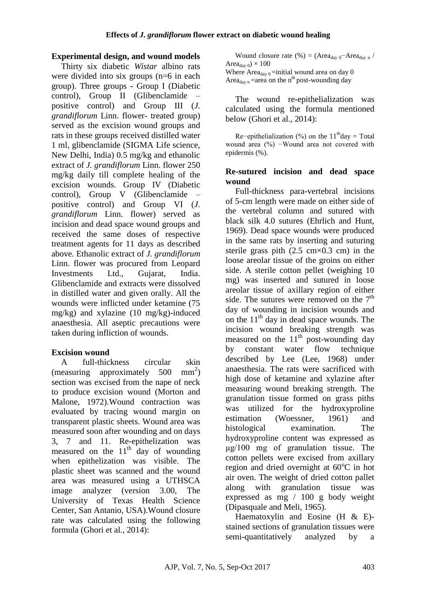## **Experimental design, and wound models**

Thirty six diabetic *Wistar* albino rats were divided into six groups (n=6 in each group). Three groups - Group I (Diabetic control), Group II (Glibenclamide – positive control) and Group III (*J. grandiflorum* Linn. flower- treated group) served as the excision wound groups and rats in these groups received distilled water 1 ml, glibenclamide (SIGMA Life science, New Delhi, India) 0.5 mg/kg and ethanolic extract of *J. grandiflorum* Linn. flower 250 mg/kg daily till complete healing of the excision wounds. Group IV (Diabetic control), Group V (Glibenclamide – positive control) and Group VI (*J. grandiflorum* Linn. flower) served as incision and dead space wound groups and received the same doses of respective treatment agents for 11 days as described above. Ethanolic extract of *J. grandiflorum*  Linn. flower was procured from Leopard Investments Ltd., Gujarat, India. Glibenclamide and extracts were dissolved in distilled water and given orally. All the wounds were inflicted under ketamine (75 mg/kg) and xylazine (10 mg/kg)-induced anaesthesia. All aseptic precautions were taken during infliction of wounds.

## **Excision wound**

A full-thickness circular skin (measuring approximately  $500 \text{ mm}^2$ ) section was excised from the nape of neck to produce excision wound (Morton and Malone, 1972).Wound contraction was evaluated by tracing wound margin on transparent plastic sheets. Wound area was measured soon after wounding and on days 3, 7 and 11. Re-epithelization was measured on the  $11<sup>th</sup>$  day of wounding when epithelization was visible. The plastic sheet was scanned and the wound area was measured using a UTHSCA image analyzer (version 3.00, The University of Texas Health Science Center, San Antanio, USA).Wound closure rate was calculated using the following formula (Ghori et al., 2014):

Wound closure rate (%) = (Area<sub>day 0</sub>–Area<sub>day n</sub> / Area $_{\text{dav }0}$   $\times$  100 Where  $Area_{day 0} = initial$  wound area on day 0 Area<sub>day n</sub> = area on the n<sup>th</sup> post-wounding day

The wound re-epithelialization was calculated using the formula mentioned below (Ghori et al., 2014):

Re−epithelialization (%) on the  $11<sup>th</sup>$ day = Total wound area (%) −Wound area not covered with epidermis (%).

### **Re-sutured incision and dead space wound**

Full-thickness para-vertebral incisions of 5-cm length were made on either side of the vertebral column and sutured with black silk 4.0 sutures (Ehrlich and Hunt, 1969). Dead space wounds were produced in the same rats by inserting and suturing sterile grass pith  $(2.5 \text{ cm} \times 0.3 \text{ cm})$  in the loose areolar tissue of the groins on either side. A sterile cotton pellet (weighing 10 mg) was inserted and sutured in loose areolar tissue of axillary region of either side. The sutures were removed on the  $7<sup>th</sup>$ day of wounding in incision wounds and on the  $11<sup>th</sup>$  day in dead space wounds. The incision wound breaking strength was measured on the  $11<sup>th</sup>$  post-wounding day by constant water flow technique described by Lee (Lee, 1968) under anaesthesia. The rats were sacrificed with high dose of ketamine and xylazine after measuring wound breaking strength. The granulation tissue formed on grass piths was utilized for the hydroxyproline estimation (Woessner, 1961) and histological examination. The hydroxyproline content was expressed as  $\mu$ g/100 mg of granulation tissue. The cotton pellets were excised from axillary region and dried overnight at  $60^{\circ}$ C in hot air oven. The weight of dried cotton pallet along with granulation tissue was expressed as mg / 100 g body weight (Dipasquale and Meli, 1965).

Haematoxylin and Eosine (H & E) stained sections of granulation tissues were semi-quantitatively analyzed by a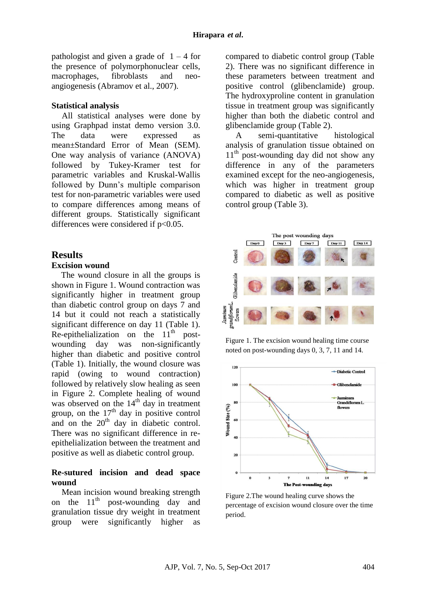pathologist and given a grade of  $1 - 4$  for the presence of polymorphonuclear cells, macrophages, fibroblasts and neoangiogenesis (Abramov et al., 2007).

#### **Statistical analysis**

All statistical analyses were done by using Graphpad instat demo version 3.0. The data were expressed as mean±Standard Error of Mean (SEM). One way analysis of variance (ANOVA) followed by Tukey-Kramer test for parametric variables and Kruskal-Wallis followed by Dunn's multiple comparison test for non-parametric variables were used to compare differences among means of different groups. Statistically significant differences were considered if  $p<0.05$ .

#### **Results**

# **Excision wound**

The wound closure in all the groups is shown in Figure 1. Wound contraction was significantly higher in treatment group than diabetic control group on days 7 and 14 but it could not reach a statistically significant difference on day 11 (Table 1). Re-epithelialization on the  $11<sup>th</sup>$  postwounding day was non-significantly higher than diabetic and positive control (Table 1). Initially, the wound closure was rapid (owing to wound contraction) followed by relatively slow healing as seen in Figure 2. Complete healing of wound was observed on the  $14<sup>th</sup>$  day in treatment group, on the  $17<sup>th</sup>$  day in positive control and on the  $20<sup>th</sup>$  day in diabetic control. There was no significant difference in reepithelialization between the treatment and positive as well as diabetic control group.

#### **Re-sutured incision and dead space wound**

Mean incision wound breaking strength on the  $11<sup>th</sup>$  post-wounding day and granulation tissue dry weight in treatment group were significantly higher as compared to diabetic control group (Table 2). There was no significant difference in these parameters between treatment and positive control (glibenclamide) group. The hydroxyproline content in granulation tissue in treatment group was significantly higher than both the diabetic control and glibenclamide group (Table 2).

A semi-quantitative histological analysis of granulation tissue obtained on  $11<sup>th</sup>$  post-wounding day did not show any difference in any of the parameters examined except for the neo-angiogenesis, which was higher in treatment group compared to diabetic as well as positive control group (Table 3).



Figure 1. The excision wound healing time course noted on post-wounding days 0, 3, 7, 11 and 14.



Figure 2.The wound healing curve shows the percentage of excision wound closure over the time period.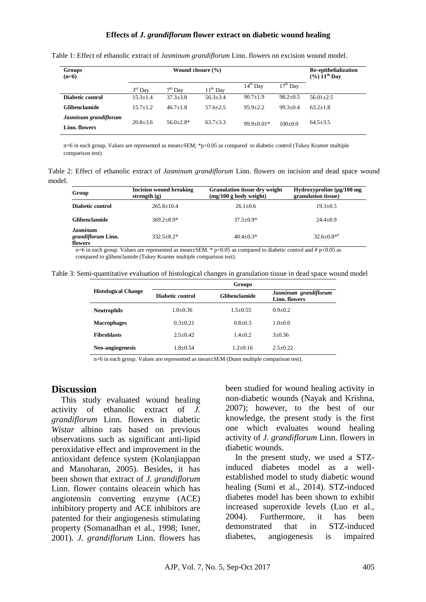#### **Effects of** *J. grandiflorum* **flower extract on diabetic wound healing**

| <b>Groups</b><br>$(n=6)$               | Wound closure $(\% )$ |               |              |                | Re-epithelialization<br>$(%) 11th$ Day |                |
|----------------------------------------|-----------------------|---------------|--------------|----------------|----------------------------------------|----------------|
|                                        | $3rd$ Day             | $7th$ Day     | $11th$ Day   | $14th$ Day     | $17th$ Day                             |                |
| Diabetic control                       | $15.3 + 1.4$          | $37.3 + 3.8$  | $56.3 + 3.4$ | $90.7 + 1.9$   | $98.2 \pm 0.5$                         | $56.01 + 2.5$  |
| Glibenclamide                          | $15.7 + 1.2$          | $46.7 + 1.8$  | $57.6 + 2.5$ | $95.9 \pm 2.2$ | $99.3 + 0.4$                           | $63.2 + 1.8$   |
| Jasminum grandiflorum<br>Linn. flowers | $20.8 + 3.6$          | $56.0 + 2.8*$ | $63.7 + 3.3$ | $99.9+0.01*$   | $100+0.0$                              | $64.5 \pm 3.5$ |

Table 1: Effect of ethanolic extract of *Jasminum grandiflorum* Linn. flowers on excision wound model.

n=6 in each group. Values are represented as mean±SEM; \*p<0.05 as compared to diabetic control (Tukey Kramer multiple comparison test).

Table 2: Effect of ethanolic extract of *Jasminum grandiflorum* Linn. flowers on incision and dead space wound model.

| Group                                            | <b>Incision wound breaking</b><br>strength $(g)$ | <b>Granulation tissue dry weight</b><br>$(mg/100 g)$ body weight) | Hydroxyproline $(\mu g/100 \text{ mg})$<br>granulation tissue) |
|--------------------------------------------------|--------------------------------------------------|-------------------------------------------------------------------|----------------------------------------------------------------|
| Diabetic control                                 | $265.8 + 10.4$                                   | $26.1 \pm 0.6$                                                    | $19.3 + 0.5$                                                   |
| <b>Glibenclamide</b>                             | $369.2 + 8.9*$                                   | $37.5 + 0.9*$                                                     | $24.4+0.9$                                                     |
| <b>Jasminum</b><br>grandiflorum Linn.<br>flowers | $332.5 + 8.2*$                                   | $40.4+0.3*$                                                       | $32.6 \pm 0.8**$                                               |

n=6 in each group. Values are represented as mean $\pm$ SEM. \* p<0.05 as compared to diabetic control and # p<0.05 as compared to glibenclamide (Tukey Kramer multiple comparison test).

| Table 3: Semi-quantitative evaluation of histological changes in granulation tissue in dead space wound model |  |  |
|---------------------------------------------------------------------------------------------------------------|--|--|
|                                                                                                               |  |  |

|                            | <b>Groups</b>    |                      |                                        |  |  |  |
|----------------------------|------------------|----------------------|----------------------------------------|--|--|--|
| <b>Histological Change</b> | Diabetic control | <b>Glibenclamide</b> | Jasminum grandiflorum<br>Linn. flowers |  |  |  |
| <b>Neutrophils</b>         | $1.0 + 0.36$     | $1.5 + 0.55$         | $0.9 + 0.2$                            |  |  |  |
| <b>Macrophages</b>         | $0.3 + 0.21$     | $0.8 \pm 0.3$        | $1.0+0.0$                              |  |  |  |
| <b>Fibroblasts</b>         | $2.5 + 0.42$     | $1.4 + 0.2$          | $3+0.36$                               |  |  |  |
| Neo-angiogenesis           | $1.8 + 0.54$     | $1.2+0.16$           | $2.5+0.22$                             |  |  |  |

n=6 in each group. Values are represented as mean±SEM (Dunn multiple comparison test).

#### **Discussion**

This study evaluated wound healing activity of ethanolic extract of *J. grandiflorum* Linn. flowers in diabetic *Wistar* albino rats based on previous observations such as significant anti-lipid peroxidative effect and improvement in the antioxidant defence system (Kolanjiappan and Manoharan, 2005). Besides, it has been shown that extract of *J. grandiflorum*  Linn. flower contains oleacein which has angiotensin converting enzyme (ACE) inhibitory property and ACE inhibitors are patented for their angiogenesis stimulating property (Somanadhan et al., 1998; Isner, 2001). *J. grandiflorum* Linn. flowers has been studied for wound healing activity in non-diabetic wounds (Nayak and Krishna, 2007); however, to the best of our knowledge, the present study is the first one which evaluates wound healing activity of *J. grandiflorum* Linn. flowers in diabetic wounds.

In the present study, we used a STZinduced diabetes model as a wellestablished model to study diabetic wound healing (Sumi et al., 2014). STZ-induced diabetes model has been shown to exhibit increased superoxide levels (Luo et al., 2004). Furthermore, it has been demonstrated that in STZ-induced diabetes, angiogenesis is impaired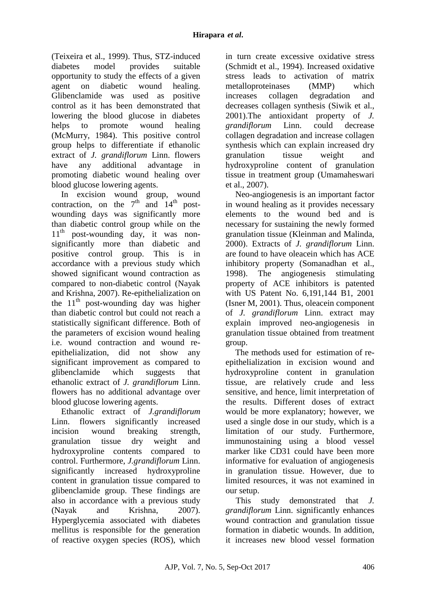(Teixeira et al., 1999). Thus, STZ-induced diabetes model provides suitable opportunity to study the effects of a given agent on diabetic wound healing. Glibenclamide was used as positive control as it has been demonstrated that lowering the blood glucose in diabetes helps to promote wound healing (McMurry, 1984). This positive control group helps to differentiate if ethanolic extract of *J. grandiflorum* Linn. flowers have any additional advantage in promoting diabetic wound healing over blood glucose lowering agents.

In excision wound group, wound contraction, on the  $7<sup>th</sup>$  and  $14<sup>th</sup>$  postwounding days was significantly more than diabetic control group while on the  $11<sup>th</sup>$  post-wounding day, it was nonsignificantly more than diabetic and positive control group. This is in accordance with a previous study which showed significant wound contraction as compared to non-diabetic control (Nayak and Krishna, 2007). Re-epithelialization on the  $11<sup>th</sup>$  post-wounding day was higher than diabetic control but could not reach a statistically significant difference. Both of the parameters of excision wound healing i.e. wound contraction and wound reepithelialization, did not show any significant improvement as compared to glibenclamide which suggests that ethanolic extract of *J. grandiflorum* Linn. flowers has no additional advantage over blood glucose lowering agents.

Ethanolic extract of *J.grandiflorum* Linn. flowers significantly increased incision wound breaking strength, granulation tissue dry weight and hydroxyproline contents compared to control. Furthermore, *J.grandiflorum* Linn. significantly increased hydroxyproline content in granulation tissue compared to glibenclamide group. These findings are also in accordance with a previous study (Nayak and Krishna, 2007). Hyperglycemia associated with diabetes mellitus is responsible for the generation of reactive oxygen species (ROS), which in turn create excessive oxidative stress (Schmidt et al., 1994). Increased oxidative stress leads to activation of matrix metalloproteinases (MMP) which increases collagen degradation and decreases collagen synthesis (Siwik et al., 2001).The antioxidant property of *J. grandiflorum* Linn. could decrease collagen degradation and increase collagen synthesis which can explain increased dry granulation tissue weight and hydroxyproline content of granulation tissue in treatment group (Umamaheswari et al., 2007).

Neo-angiogenesis is an important factor in wound healing as it provides necessary elements to the wound bed and is necessary for sustaining the newly formed granulation tissue (Kleinman and Malinda, 2000). Extracts of *J. grandiflorum* Linn. are found to have oleacein which has ACE inhibitory property (Somanadhan et al., 1998). The angiogenesis stimulating property of ACE inhibitors is patented with US Patent No. 6,191,144 B1, 2001 (Isner M, 2001). Thus, oleacein component of *J. grandiflorum* Linn. extract may explain improved neo-angiogenesis in granulation tissue obtained from treatment group.

The methods used for estimation of reepithelialization in excision wound and hydroxyproline content in granulation tissue, are relatively crude and less sensitive, and hence, limit interpretation of the results. Different doses of extract would be more explanatory; however, we used a single dose in our study, which is a limitation of our study. Furthermore, immunostaining using a blood vessel marker like CD31 could have been more informative for evaluation of angiogenesis in granulation tissue. However, due to limited resources, it was not examined in our setup.

This study demonstrated that *J. grandiflorum* Linn. significantly enhances wound contraction and granulation tissue formation in diabetic wounds. In addition, it increases new blood vessel formation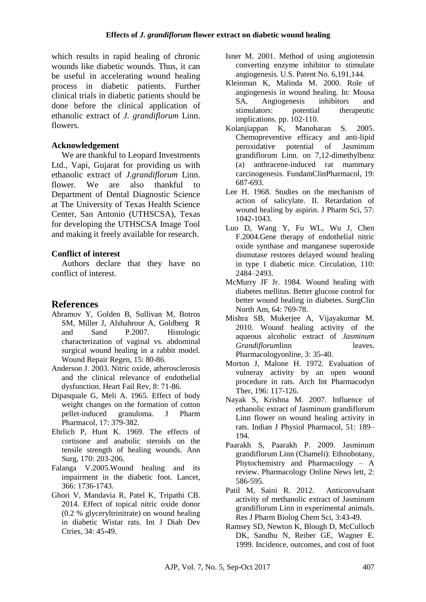which results in rapid healing of chronic wounds like diabetic wounds. Thus, it can be useful in accelerating wound healing process in diabetic patients. Further clinical trials in diabetic patients should be done before the clinical application of ethanolic extract of *J. grandiflorum* Linn. flowers.

### **Acknowledgement**

We are thankful to Leopard Investments Ltd., Vapi, Gujarat for providing us with ethanolic extract of *J.grandiflorum* Linn. flower. We are also thankful to Department of Dental Diagnostic Science at The University of Texas Health Science Center, San Antonio (UTHSCSA), Texas for developing the UTHSCSA Image Tool and making it freely available for research.

### **Conflict of interest**

Authors declare that they have no conflict of interest.

# **References**

- Abramov Y, Golden B, Sullivan M, Botros SM, Miller J, Alshahrour A, Goldberg R and Sand P.2007. Histologic characterization of vaginal vs. abdominal surgical wound healing in a rabbit model. Wound Repair Regen, 15: 80-86.
- Anderson J. 2003. Nitric oxide, atherosclerosis and the clinical relevance of endothelial dysfunction. Heart Fail Rev, 8: 71-86.
- Dipasquale G, Meli A. 1965. Effect of body weight changes on the formation of cotton pellet-induced granuloma. J Pharm Pharmacol, 17: 379-382.
- Ehrlich P, Hunt K. 1969. The effects of cortisone and anabolic steroids on the tensile strength of healing wounds. Ann Surg, 170: 203-206.
- Falanga V.2005.Wound healing and its impairment in the diabetic foot. Lancet, 366: 1736-1743.
- Ghori V, Mandavia R, Patel K, Tripathi CB. 2014. Effect of topical nitric oxide donor (0.2 % glyceryltrinitrate) on wound healing in diabetic Wistar rats. Int J Diab Dev Ctries, 34: 45-49.
- Isner M. 2001. Method of using angiotensin converting enzyme inhibitor to stimulate angiogenesis. U.S. Patent No. 6,191,144.
- Kleinman K, Malinda M. 2000. Role of angiogenesis in wound healing. In: Mousa SA, Angiogenesis inhibitors and stimulators: potential therapeutic implications. pp. 102-110.
- Kolanjiappan K, Manoharan S. 2005. Chemopreventive efficacy and anti-lipid peroxidative potential of Jasminum grandiflorum Linn. on 7,12-dimethylbenz (a) anthracene-induced rat mammary carcinogenesis. FundamClinPharmacol, 19: 687-693.
- Lee H. 1968. Studies on the mechanism of action of salicylate. II. Retardation of wound healing by aspirin. J Pharm Sci, 57: 1042-1043.
- Luo D, Wang Y, Fu WL, Wu J, Chen F.2004.Gene therapy of endothelial nitric oxide synthase and manganese superoxide dismutase restores delayed wound healing in type 1 diabetic mice. Circulation, 110: 2484–2493.
- McMurry JF Jr. 1984. Wound healing with diabetes mellitus. Better glucose control for better wound healing in diabetes. SurgClin North Am, 64: 769-78.
- Mishra SB, Mukerjee A, Vijayakumar M. 2010. Wound healing activity of the aqueous alcoholic extract of *Jasminum Grandiflorum*linn leaves. Pharmacologyonline, 3: 35-40.
- Morton J, Malone H. 1972. Evaluation of vulneray activity by an open wound procedure in rats. Arch Int Pharmacodyn Ther, 196: 117-126.
- Nayak S, Krishna M. 2007. Influence of ethanolic extract of Jasminum grandiflorum Linn flower on wound healing activity in rats. Indian J Physiol Pharmacol, 51: 189– 194.
- Paarakh S, Paarakh P. 2009. Jasminum grandiflorum Linn (Chameli): Ethnobotany, Phytochemistry and Pharmacology – A review. Pharmacology Online News lett, 2: 586-595.
- Patil M, Saini R. 2012. Anticonvulsant activity of methanolic extract of Jasminum grandiflorum Linn in experimental animals. Res J Pharm Biolog Chem Sci, 3:43-49.
- [Ramsey](http://care.diabetesjournals.org/search?author1=S+D+Ramsey&sortspec=date&submit=Submit) SD, Newton K, Blough D, McCulloch DK, Sandhu N, Reiber GE, Wagner E. 1999. Incidence, outcomes, and cost of foot